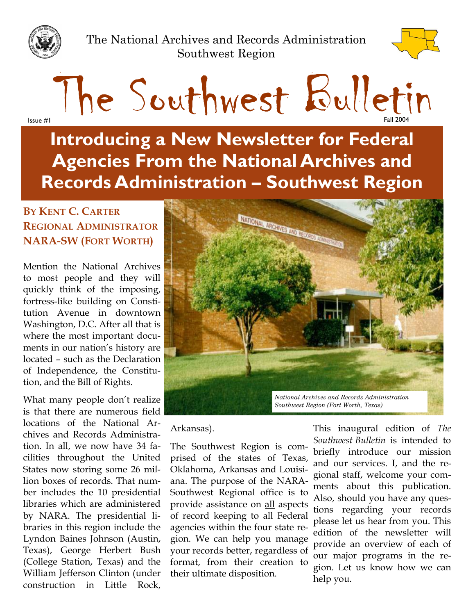

The National Archives and Records Administration Southwest Region



The Southwest Bulletin Issue #1 Fall 2004

**Introducing a New Newsletter for Federal Agencies From the National Archives and Records Administration – Southwest Region** 

### **BY KENT C. CARTER REGIONAL ADMINISTRATOR NARA-SW (FORT WORTH)**

Mention the National Archives to most people and they will quickly think of the imposing, fortress-like building on Constitution Avenue in downtown Washington, D.C. After all that is where the most important documents in our nation's history are located – such as the Declaration of Independence, the Constitution, and the Bill of Rights.

What many people don't realize is that there are numerous field locations of the National Archives and Records Administration. In all, we now have 34 facilities throughout the United States now storing some 26 million boxes of records. That number includes the 10 presidential libraries which are administered by NARA. The presidential libraries in this region include the Lyndon Baines Johnson (Austin, Texas), George Herbert Bush (College Station, Texas) and the William Jefferson Clinton (under construction in Little Rock,



Arkansas).

The Southwest Region is comprised of the states of Texas, Oklahoma, Arkansas and Louisiana. The purpose of the NARA-Southwest Regional office is to provide assistance on all aspects of record keeping to all Federal agencies within the four state region. We can help you manage your records better, regardless of format, from their creation to their ultimate disposition.

This inaugural edition of *The Southwest Bulletin* is intended to briefly introduce our mission and our services. I, and the regional staff, welcome your comments about this publication. Also, should you have any questions regarding your records please let us hear from you. This edition of the newsletter will provide an overview of each of our major programs in the region. Let us know how we can help you.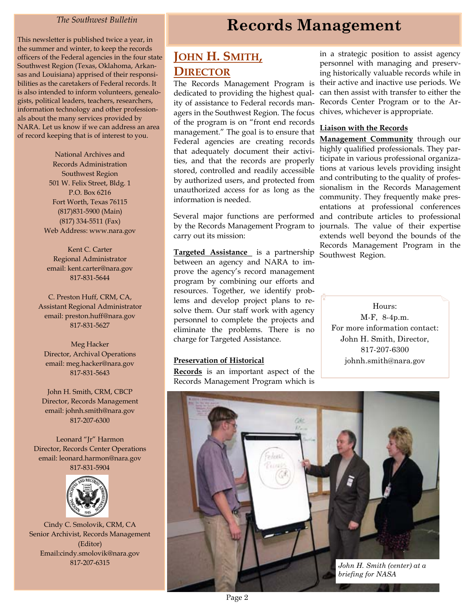#### *The Southwest Bulletin*

sas and Louisiana) apprised of their responsi This newsletter is published twice a year, in the summer and winter, to keep the records officers of the Federal agencies in the four state Southwest Region (Texas, Oklahoma, Arkanbilities as the caretakers of Federal records. It is also intended to inform volunteers, genealogists, political leaders, teachers, researchers, information technology and other professionals about the many services provided by NARA. Let us know if we can address an area of record keeping that is of interest to you.

> (817) 831-5900 (Main) ) (817) 334-5511 (Fax National Archives and Records Administration Southwest Region 501 W. Felix Street, Bldg. 1 P.O. Box 6216 Fort Worth, Texas 76115 Web Address: www.nara.gov

Kent C. Carter Regional Administrator email: kent.carter@nara.gov 817-831-5644

C. Preston Huff, CRM, CA, Assistant Regional Administrator email: preston.huff@nara.gov 817-831-5627

Meg Hacker Director, Archival Operations email: meg.hacker@nara.gov 817-831-5643

John H. Smith, CRM, CBCP Director, Records Management email: johnh.smith@nara.gov 817-207-6300

Leonard "Jr" Harmon Director, Records Center Operations email: leonard.harmon@nara.gov 817-831-5904



Cindy C. Smolovik, CRM, CA Senior Archivist, Records Management (Editor) Email:cindy.smolovik@nara.gov 817-207-6315

## **Records Management**

## **JOHN H. SMITH, DIRECTOR**

The Records Management Program is dedicated to providing the highest quality of assistance to Federal records managers in the Southwest Region. The focus of the program is on "front end records management." The goal is to ensure that Federal agencies are creating records that adequately document their activities, and that the records are properly stored, controlled and readily accessible by authorized users, and protected from unauthorized access for as long as the information is needed.

Several major functions are performed by the Records Management Program to carry out its mission:

**Targeted Assistance** is a partnership between an agency and NARA to improve the agency's record management program by combining our efforts and resources. Together, we identify problems and develop project plans to resolve them. Our staff work with agency personnel to complete the projects and eliminate the problems. There is no charge for Targeted Assistance.

#### **Preservation of Historical**

**Records** is an important aspect of the Records Management Program which is in a strategic position to assist agency personnel with managing and preserving historically valuable records while in their active and inactive use periods. We can then assist with transfer to either the Records Center Program or to the Archives, whichever is appropriate.

#### **Liaison with the Records**

**Management Community** through our highly qualified professionals. They participate in various professional organizations at various levels providing insight and contributing to the quality of professionalism in the Records Management community. They frequently make presentations at professional conferences and contribute articles to professional journals. The value of their expertise extends well beyond the bounds of the Records Management Program in the Southwest Region.

M-F, 8-4p.m. Hours: For more information contact: John H. Smith, Director, 817-207-6300 johnh.smith@nara.gov

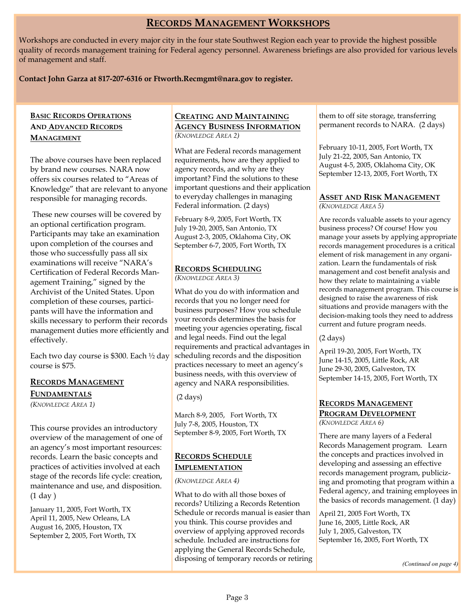#### **RECORDS MANAGEMENT WORKSHOPS**

Workshops are conducted in every major city in the four state Southwest Region each year to provide the highest possible quality of records management training for Federal agency personnel. Awareness briefings are also provided for various levels of management and staff.

#### **Contact John Garza at 817-207-6316 or Ftworth.Recmgmt@nara.gov to register.**

#### **BASIC RECORDS OPERATIONS AND ADVANCED R ECORDS M ANAGEMENT**

The above courses have been replaced by brand new courses. NARA now offers six courses related to "Areas of Knowledge" that are relevant to anyone responsible for managing records.

 These new courses will be covered by an optional certification program. Participants may take an examination upon completion of the courses and those who successfully pass all six examinations will receive "NARA's Certification of Federal Records Management Training," signed by the Archivist of the United States. Upon completion of these courses, participants will have the information and skills necessary to perform their records management duties more efficiently and effectively.

Each two day course is \$300. Each ½ day course is \$75.

#### **R M ECORDS ANAGEMENT F UNDAMENTALS**

*(K A 1) NOWLEDGE REA*

) (1 day This course provides an introductory overview of the management of one of an agency's most important resources: records. Learn the basic concepts and practices of activities involved at each stage of the records life cycle: creation, maintenance and use, and disposition.

January 11, 2005, Fort Worth, TX April 11, 2005, New Orleans, LA August 16, 2005, Houston, TX September 2, 2005, Fort Worth, TX

#### **CREATING AND MAINTAINING AGENCY BUSINESS INFORMATION** *(K A 2) NOWLEDGE REA*

Federal information. (2 days) What are Federal records management requirements, how are they applied to agency records, and why are they important? Find the solutions to these important questions and their application to everyday challenges in managing

February 8-9, 2005, Fort Worth, TX July 19-20, 2005, San Antonio, TX August 2-3, 2005, Oklahoma City, OK September 6-7, 2005, Fort Worth, TX

## **R S ECORDS CHEDULING**

*(K A 3) NOWLEDGE REA*

What do you do with information and records that you no longer need for business purposes? How you schedule your records determines the basis for meeting your agencies operating, fiscal and legal needs. Find out the legal requirements and practical advantages in scheduling records and the disposition practices necessary to meet an agency's business needs, with this overview of agency and NARA responsibilities.

) (2 days

March 8-9, 2005, Fort Worth, TX July 7-8, 2005, Houston, TX September 8-9, 2005, Fort Worth, TX

#### **R S ECORDS CHEDULE I MPLEMENTATION**

*(K A 4) NOWLEDGE REA*

What to do with all those boxes of records? Utilizing a Records Retention Schedule or records manual is easier than you think. This course provides and overview of applying approved records schedule. Included are instructions for applying the General Records Schedule, disposing of temporary records or retiring

) permanent records to NARA. (2 days them to off site storage, transferring

February 10-11, 2005, Fort Worth, TX July 21-22, 2005, San Antonio, TX August 4-5, 2005, Oklahoma City, OK September 12-13, 2005, Fort Worth, TX

#### **ASSET AND RISK MANAGEMENT** *(K A 5) NOWLEDGE REA*

Are records valuable assets to your agency business process? Of course! How you manage your assets by applying appropriate records management procedures is a critical element of risk management in any organization. Learn the fundamentals of risk management and cost benefit analysis and how they relate to maintaining a viable records management program. This course is designed to raise the awareness of risk situations and provide managers with the decision-making tools they need to address current and future program needs.

) (2 days

April 19-20, 2005, Fort Worth, TX June 14-15, 2005, Little Rock, AR June 29-30, 2005, Galveston, TX September 14-15, 2005, Fort Worth, TX

#### **R M ECORDS ANAGEMENT PROGRAM DEVELOPMENT** *(K A 6) NOWLEDGE REA*

the basics of records management. (1 day) There are many layers of a Federal Records Management program. Learn the concepts and practices involved in developing and assessing an effective records management program, publicizing and promoting that program within a Federal agency, and training employees in

April 21, 2005 Fort Worth, TX June 16, 2005, Little Rock, AR July 1, 2005, Galveston, TX September 16, 2005, Fort Worth, TX

*( Continued on page 4)*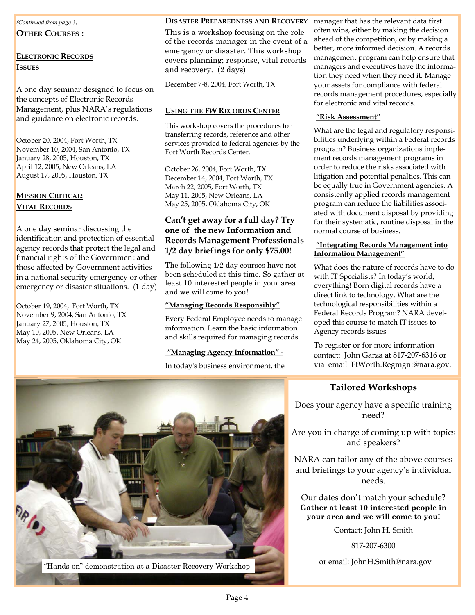#### *( ) Continued from page 3*

**OTHER COURSES :** 

#### **ELECTRONIC RECORDS I SSUES**

A one day seminar designed to focus on the concepts of Electronic Records Management, plus NARA's regulations and guidance on electronic records.

October 20, 2004, Fort Worth, TX November 10, 2004, San Antonio, TX January 28, 2005, Houston, TX April 12, 2005, New Orleans, LA August 17, 2005, Houston, TX

#### **MISSION CRITICAL: V R ITAL ECORDS**

emergency or disaster situations. (1 day) A one day seminar discussing the identification and protection of essential agency records that protect the legal and financial rights of the Government and those affected by Government activities in a national security emergency or other

October 19, 2004, Fort Worth, TX November 9, 2004, San Antonio, TX January 27, 2005, Houston, TX May 10, 2005, New Orleans, LA May 24, 2005, Oklahoma City, OK

#### **DISASTER PREPAREDNESS AND RECOVERY**

and recovery. (2 days) This is a workshop focusing on the role of the records manager in the event of a emergency or disaster. This workshop covers planning; response, vital records

December 7-8, 2004, Fort Worth, TX

#### **USING THE FW RECORDS CENTER**

This workshop covers the procedures for transferring records, reference and other services provided to federal agencies by the Fort Worth Records Center.

October 26, 2004, Fort Worth, TX December 14, 2004, Fort Worth, TX March 22, 2005, Fort Worth, TX May 11, 2005, New Orleans, LA May 25, 2005, Oklahoma City, OK

#### **1/ 2 day briefings for only \$75.00! Can't get away for a full day? Try one of the new Information and Records Management Professionals**

and we will come to you! The following 1/2 day courses have not been scheduled at this time. So gather at least 10 interested people in your area

#### **"Managing Records Responsibly"**

Every Federal Employee needs to manage information. Learn the basic information and skills required for managing records

#### **"Managing Agency Information" -**

In today's business environment, the

#### **"Risk Assessment"**

What are the legal and regulatory responsibilities underlying within a Federal records program? Business organizations implement records management programs in order to reduce the risks associated with litigation and potential penalties. This can be equally true in Government agencies. A consistently applied records management program can reduce the liabilities associated with document disposal by providing for their systematic, routine disposal in the normal course of business.

#### **"Integrating Records Management into Information Management"**

What does the nature of records have to do with IT Specialists? In today's world, everything! Born digital records have a direct link to technology. What are the technological responsibilities within a Federal Records Program? NARA developed this course to match IT issues to Agency records issues

via email FtWorth.Regmgnt@nara.gov. To register or for more information contact: John Garza at 817-207-6316 or

#### **Tailored Workshops**

Does your agency have a specific training need?

Are you in charge of coming up with topics and speakers?

NARA can tailor any of the above courses and briefings to your agency's individual needs.

**! your area and we will come to you** Our dates don't match your schedule? **Gather at least 10 interested people in** 

Contact: John H. Smith

817-207-6300

or email: JohnH.Smith@nara.gov

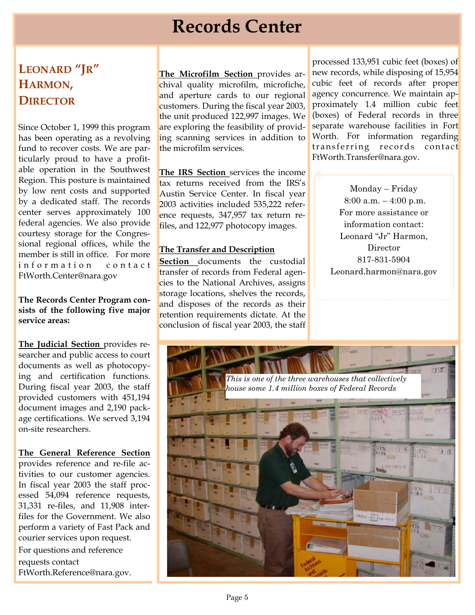# **Records Center**

## **LEONARD "JR"**  HARMON, **D IRECTOR**

ticularly proud to have a profit Since October 1, 1999 this program has been operating as a revolving fund to recover costs. We are parable operation in the Southwest Region. This posture is maintained by low rent costs and supported by a dedicated staff. The records center serves approximately 100 federal agencies. We also provide courtesy storage for the Congressional regional offices, while the member is still in office. For more information contact FtWorth.Center@nara.gov

#### **The Records Center Program consists of the following five major service areas:**

ing and certification functions. **The Judicial Section** provides researcher and public access to court documents as well as photocopy During fiscal year 2003, the staff provided customers with 451,194 document images and 2,190 package certifications. We served 3,194 on-site researchers.

**The General Reference Section**  provides reference and re-file activities to our customer agencies. In fiscal year 2003 the staff processed 54,094 reference requests, 31,331 re-files, and 11,908 interfiles for the Government. We also perform a variety of Fast Pack and courier services upon request. For questions and reference

requests contact FtWorth.Reference@nara.gov.

and aperture cards to our regional **The Microfilm Section** provides archival quality microfilm, microfiche, customers. During the fiscal year 2003, the unit produced 122,997 images. We are exploring the feasibility of providing scanning services in addition to the microfilm services.

**The IRS Section** services the income tax returns received from the IRS's Austin Service Center. In fiscal year 2003 activities included 535,222 reference requests, 347,957 tax return refiles, and 122,977 photocopy images.

#### **The Transfer and Description**

**Section** documents the custodial transfer of records from Federal agencies to the National Archives, assigns storage locations, shelves the records, and disposes of the records as their retention requirements dictate. At the conclusion of fiscal year 2003, the staff

cubic feet of records after proper proximately 1.4 million cubic feet Worth. For information regarding processed 133,951 cubic feet (boxes) of new records, while disposing of 15,954 agency concurrence. We maintain ap-(boxes) of Federal records in three separate warehouse facilities in Fort transferring records contact FtWorth.Transfer@nara.gov.

> Monday – Friday 8:00 a.m. – 4:00 p.m. For more assistance or information contact: Leonard "Jr" Harmon, Director 817-831-5904 Leonard.harmon@nara.gov

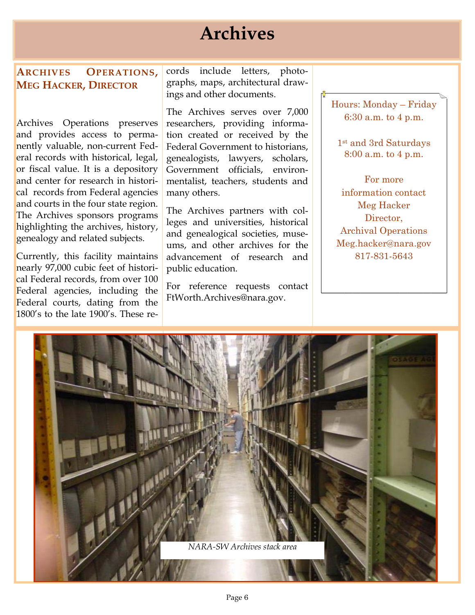# **Archives**

#### **ARCHIVES OPERATIONS, MEG HACKER, DIRECTOR**

Archives Operations preserves and provides access to perma cal records from Federal agencies genealogy and related subjects. nently valuable, non-current Federal records with historical, legal, or fiscal value. It is a depository and center for research in historiand courts in the four state region. The Archives sponsors programs highlighting the archives, history,

Federal courts, dating from the Currently, this facility maintains nearly 97,000 cubic feet of historical Federal records, from over 100 Federal agencies, including the 1800's to the late 1900's. These re-

cords include letters, photo graphs, maps, architectural drawings and other documents.

genealogists, lawyers, scholars, Government officials, environ-The Archives serves over 7,000 researchers, providing information created or received by the Federal Government to historians, mentalist, teachers, students and many others.

advancement of research and public education. The Archives partners with colleges and universities, historical and genealogical societies, museums, and other archives for the

For reference requests contact FtWorth.Archives@nara.gov.

6:30 a.m. to 4 p.m. Hours: Monday – Friday

1st and 3rd Saturdays 8:00 a.m. to 4 p.m.

For more information contact Meg Hacker Director, Meg.hacker@nara.gov 817-831-5643 Archival Operations

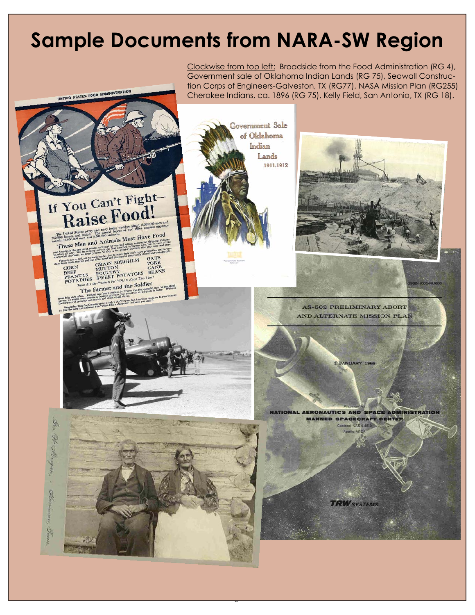# **Sample Documents from NARA-SW Region**

**ISTRATION** 

UNITED STATES FOOD ADMI





Page 7